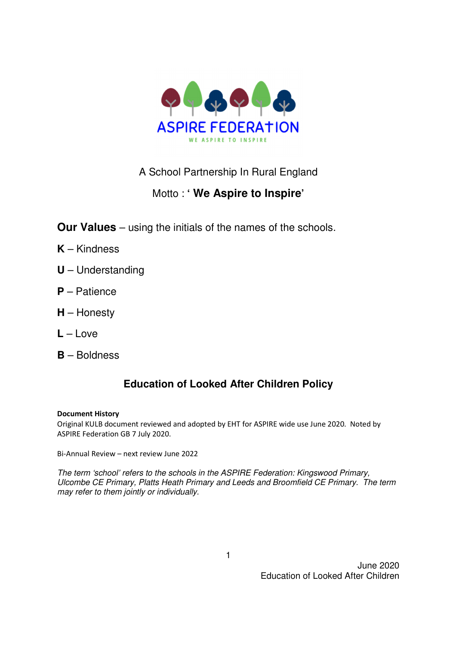

# A School Partnership In Rural England

# Motto : **' We Aspire to Inspire'**

- **Our Values** using the initials of the names of the schools.
- **K** Kindness
- **U** Understanding
- **P** Patience
- **H** Honesty
- **L** Love
- **B** Boldness

# **Education of Looked After Children Policy**

#### Document History

Original KULB document reviewed and adopted by EHT for ASPIRE wide use June 2020. Noted by ASPIRE Federation GB 7 July 2020.

Bi-Annual Review – next review June 2022

The term 'school' refers to the schools in the ASPIRE Federation: Kingswood Primary, Ulcombe CE Primary, Platts Heath Primary and Leeds and Broomfield CE Primary. The term may refer to them jointly or individually.

June 2020 Education of Looked After Children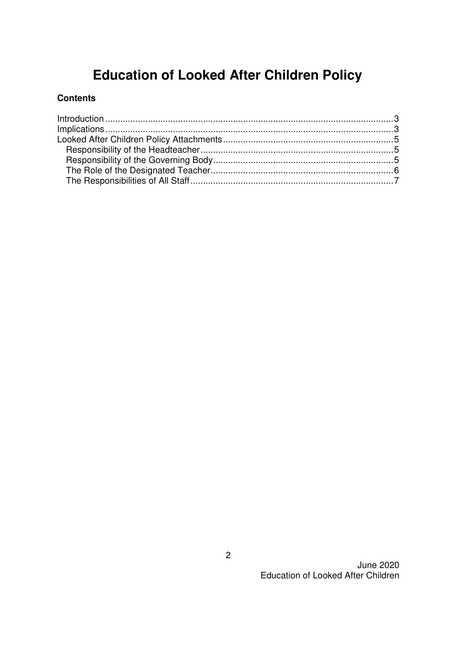# **Education of Looked After Children Policy**

## **Contents**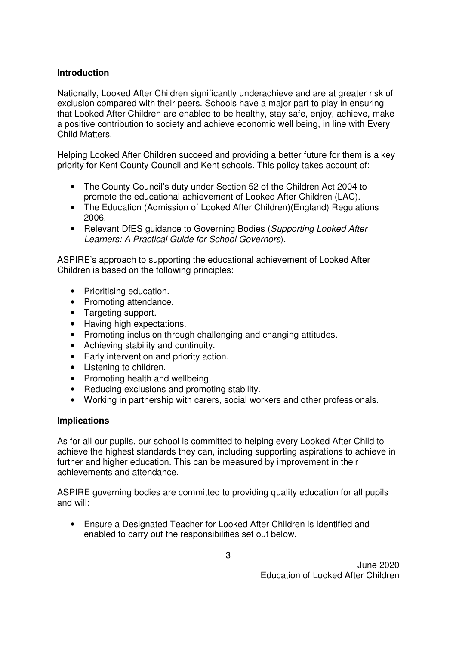## **Introduction**

Nationally, Looked After Children significantly underachieve and are at greater risk of exclusion compared with their peers. Schools have a major part to play in ensuring that Looked After Children are enabled to be healthy, stay safe, enjoy, achieve, make a positive contribution to society and achieve economic well being, in line with Every Child Matters.

Helping Looked After Children succeed and providing a better future for them is a key priority for Kent County Council and Kent schools. This policy takes account of:

- The County Council's duty under Section 52 of the Children Act 2004 to promote the educational achievement of Looked After Children (LAC).
- The Education (Admission of Looked After Children) (England) Regulations 2006.
- Relevant DfES guidance to Governing Bodies (Supporting Looked After Learners: A Practical Guide for School Governors).

ASPIRE's approach to supporting the educational achievement of Looked After Children is based on the following principles:

- Prioritising education.
- Promoting attendance.
- Targeting support.
- Having high expectations.
- Promoting inclusion through challenging and changing attitudes.
- Achieving stability and continuity.
- Early intervention and priority action.
- Listening to children.
- Promoting health and wellbeing.
- Reducing exclusions and promoting stability.
- Working in partnership with carers, social workers and other professionals.

#### **Implications**

As for all our pupils, our school is committed to helping every Looked After Child to achieve the highest standards they can, including supporting aspirations to achieve in further and higher education. This can be measured by improvement in their achievements and attendance.

ASPIRE governing bodies are committed to providing quality education for all pupils and will:

• Ensure a Designated Teacher for Looked After Children is identified and enabled to carry out the responsibilities set out below.

June 2020 Education of Looked After Children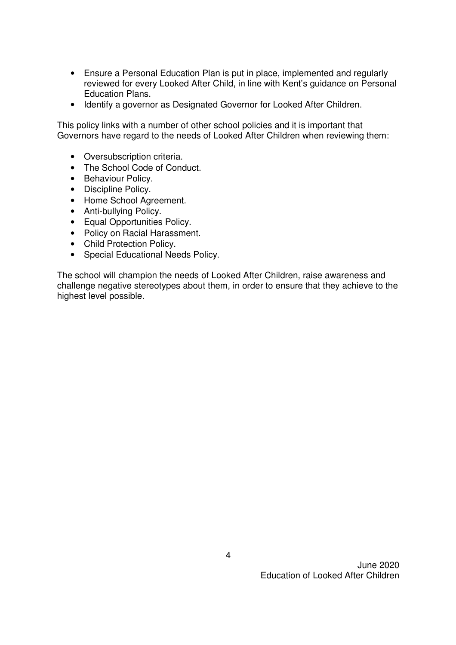- Ensure a Personal Education Plan is put in place, implemented and regularly reviewed for every Looked After Child, in line with Kent's guidance on Personal Education Plans.
- Identify a governor as Designated Governor for Looked After Children.

This policy links with a number of other school policies and it is important that Governors have regard to the needs of Looked After Children when reviewing them:

- Oversubscription criteria.
- The School Code of Conduct.
- Behaviour Policy.
- Discipline Policy.
- Home School Agreement.
- Anti-bullying Policy.
- Equal Opportunities Policy.
- Policy on Racial Harassment.
- Child Protection Policy.
- Special Educational Needs Policy.

The school will champion the needs of Looked After Children, raise awareness and challenge negative stereotypes about them, in order to ensure that they achieve to the highest level possible.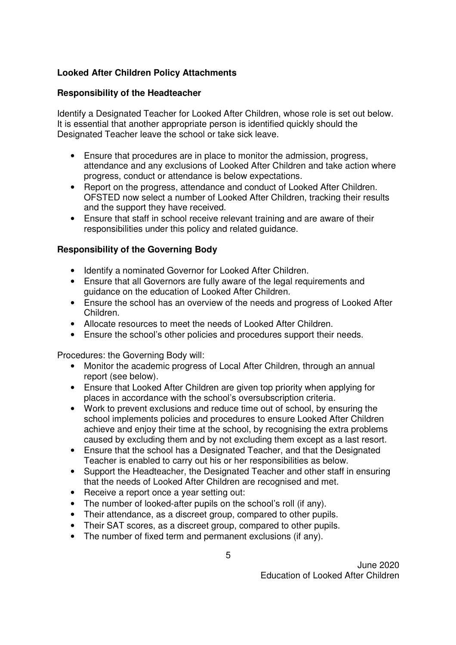## **Looked After Children Policy Attachments**

#### **Responsibility of the Headteacher**

Identify a Designated Teacher for Looked After Children, whose role is set out below. It is essential that another appropriate person is identified quickly should the Designated Teacher leave the school or take sick leave.

- Ensure that procedures are in place to monitor the admission, progress, attendance and any exclusions of Looked After Children and take action where progress, conduct or attendance is below expectations.
- Report on the progress, attendance and conduct of Looked After Children. OFSTED now select a number of Looked After Children, tracking their results and the support they have received.
- Ensure that staff in school receive relevant training and are aware of their responsibilities under this policy and related guidance.

#### **Responsibility of the Governing Body**

- Identify a nominated Governor for Looked After Children.
- Ensure that all Governors are fully aware of the legal requirements and guidance on the education of Looked After Children.
- Ensure the school has an overview of the needs and progress of Looked After Children.
- Allocate resources to meet the needs of Looked After Children.
- Ensure the school's other policies and procedures support their needs.

Procedures: the Governing Body will:

- Monitor the academic progress of Local After Children, through an annual report (see below).
- Ensure that Looked After Children are given top priority when applying for places in accordance with the school's oversubscription criteria.
- Work to prevent exclusions and reduce time out of school, by ensuring the school implements policies and procedures to ensure Looked After Children achieve and enjoy their time at the school, by recognising the extra problems caused by excluding them and by not excluding them except as a last resort.
- Ensure that the school has a Designated Teacher, and that the Designated Teacher is enabled to carry out his or her responsibilities as below.
- Support the Headteacher, the Designated Teacher and other staff in ensuring that the needs of Looked After Children are recognised and met.
- Receive a report once a year setting out:
- The number of looked-after pupils on the school's roll (if any).
- Their attendance, as a discreet group, compared to other pupils.
- Their SAT scores, as a discreet group, compared to other pupils.
- The number of fixed term and permanent exclusions (if any).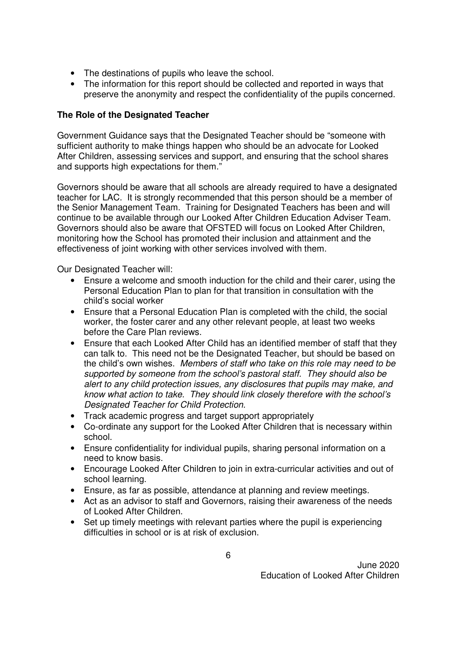- The destinations of pupils who leave the school.
- The information for this report should be collected and reported in ways that preserve the anonymity and respect the confidentiality of the pupils concerned.

#### **The Role of the Designated Teacher**

Government Guidance says that the Designated Teacher should be "someone with sufficient authority to make things happen who should be an advocate for Looked After Children, assessing services and support, and ensuring that the school shares and supports high expectations for them."

Governors should be aware that all schools are already required to have a designated teacher for LAC. It is strongly recommended that this person should be a member of the Senior Management Team. Training for Designated Teachers has been and will continue to be available through our Looked After Children Education Adviser Team. Governors should also be aware that OFSTED will focus on Looked After Children, monitoring how the School has promoted their inclusion and attainment and the effectiveness of joint working with other services involved with them.

Our Designated Teacher will:

- Ensure a welcome and smooth induction for the child and their carer, using the Personal Education Plan to plan for that transition in consultation with the child's social worker
- Ensure that a Personal Education Plan is completed with the child, the social worker, the foster carer and any other relevant people, at least two weeks before the Care Plan reviews.
- Ensure that each Looked After Child has an identified member of staff that they can talk to. This need not be the Designated Teacher, but should be based on the child's own wishes. Members of staff who take on this role may need to be supported by someone from the school's pastoral staff. They should also be alert to any child protection issues, any disclosures that pupils may make, and know what action to take. They should link closely therefore with the school's Designated Teacher for Child Protection.
- Track academic progress and target support appropriately
- Co-ordinate any support for the Looked After Children that is necessary within school.
- Ensure confidentiality for individual pupils, sharing personal information on a need to know basis.
- Encourage Looked After Children to join in extra-curricular activities and out of school learning.
- Ensure, as far as possible, attendance at planning and review meetings.
- Act as an advisor to staff and Governors, raising their awareness of the needs of Looked After Children.
- Set up timely meetings with relevant parties where the pupil is experiencing difficulties in school or is at risk of exclusion.